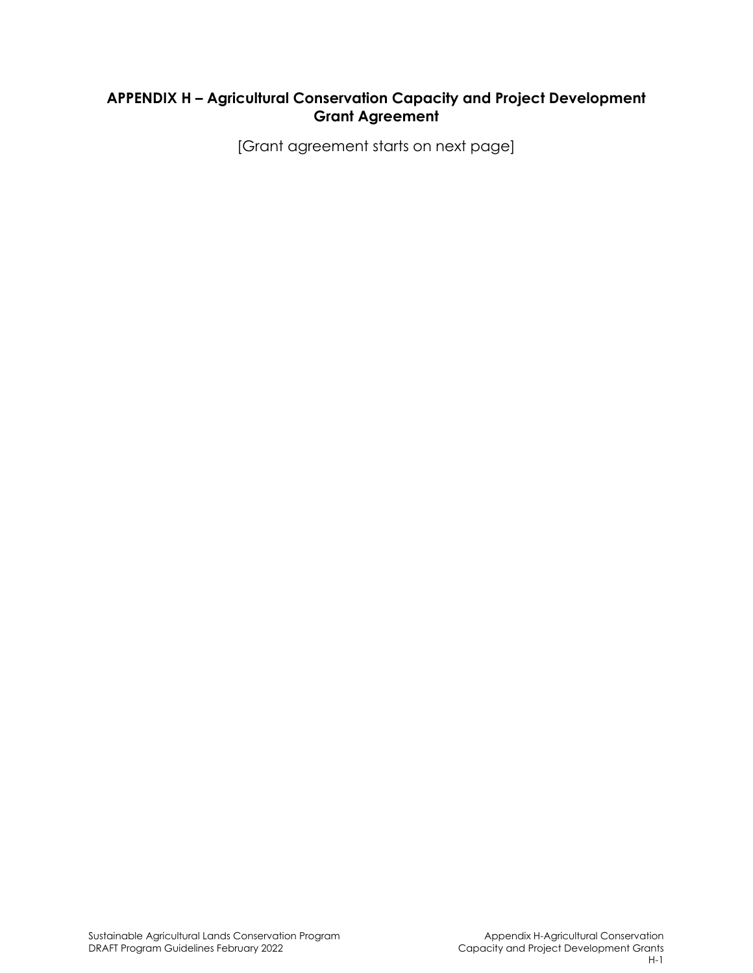# **APPENDIX H – Agricultural Conservation Capacity and Project Development Grant Agreement**

[Grant agreement starts on next page]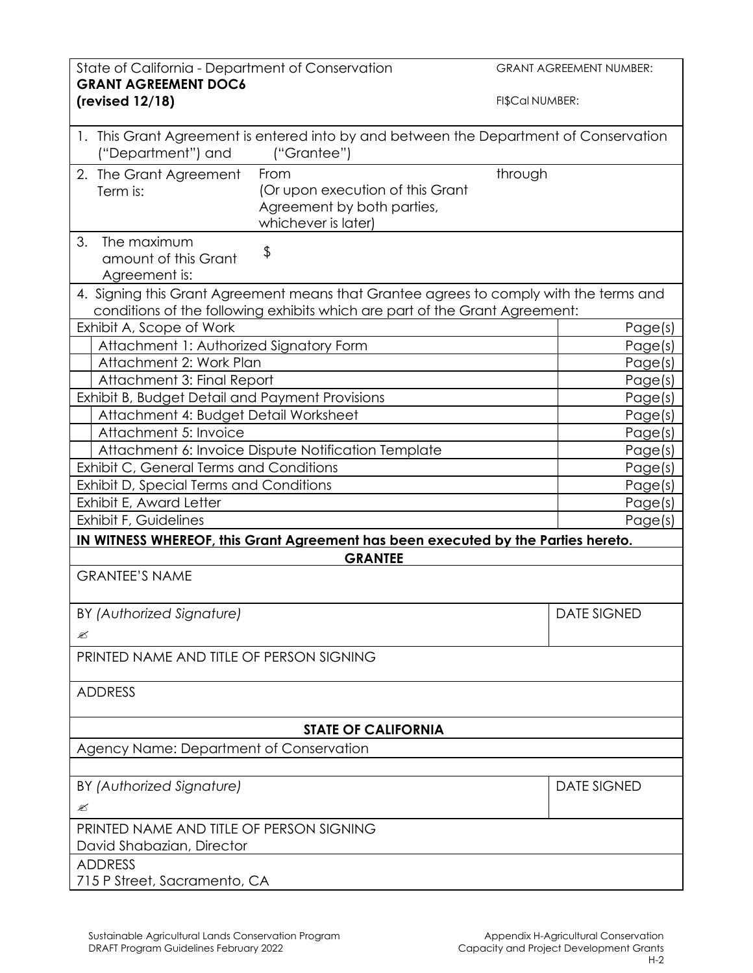| State of California - Department of Conservation<br><b>GRANT AGREEMENT DOC6</b>                                                                                       | <b>GRANT AGREEMENT NUMBER:</b> |
|-----------------------------------------------------------------------------------------------------------------------------------------------------------------------|--------------------------------|
| (revised $12/18$ )                                                                                                                                                    | FI\$Cal NUMBER:                |
| 1. This Grant Agreement is entered into by and between the Department of Conservation<br>("Department") and<br>("Grantee")                                            |                                |
| From<br>2. The Grant Agreement<br>(Or upon execution of this Grant<br>Term is:<br>Agreement by both parties,<br>whichever is later)                                   | through                        |
| 3.<br>The maximum<br>\$<br>amount of this Grant<br>Agreement is:                                                                                                      |                                |
| 4. Signing this Grant Agreement means that Grantee agrees to comply with the terms and<br>conditions of the following exhibits which are part of the Grant Agreement: |                                |
| Exhibit A, Scope of Work                                                                                                                                              | Page(s)                        |
| Attachment 1: Authorized Signatory Form                                                                                                                               | Page(s)                        |
| Attachment 2: Work Plan                                                                                                                                               | Page(s)                        |
| Attachment 3: Final Report                                                                                                                                            | Page(s)                        |
| Exhibit B, Budget Detail and Payment Provisions                                                                                                                       | Page(s)                        |
| Attachment 4: Budget Detail Worksheet                                                                                                                                 | Page(s)                        |
| Attachment 5: Invoice                                                                                                                                                 | Page(s)                        |
| Attachment 6: Invoice Dispute Notification Template                                                                                                                   | Page(s)                        |
| Exhibit C, General Terms and Conditions                                                                                                                               | Page(s)                        |
| Exhibit D, Special Terms and Conditions                                                                                                                               | Page(s)                        |
| Exhibit E, Award Letter                                                                                                                                               | Page(s)                        |
| Exhibit F, Guidelines                                                                                                                                                 | Page(s)                        |
| IN WITNESS WHEREOF, this Grant Agreement has been executed by the Parties hereto.                                                                                     |                                |
| <b>GRANTEE</b>                                                                                                                                                        |                                |
| <b>GRANTEE'S NAME</b>                                                                                                                                                 |                                |
| BY (Authorized Signature)                                                                                                                                             | <b>DATE SIGNED</b>             |
| ≤                                                                                                                                                                     |                                |
| PRINTED NAME AND TITLE OF PERSON SIGNING                                                                                                                              |                                |
| <b>ADDRESS</b>                                                                                                                                                        |                                |
| <b>STATE OF CALIFORNIA</b>                                                                                                                                            |                                |
| Agency Name: Department of Conservation                                                                                                                               |                                |
|                                                                                                                                                                       |                                |
| BY (Authorized Signature)                                                                                                                                             | <b>DATE SIGNED</b>             |
| ≤                                                                                                                                                                     |                                |
| PRINTED NAME AND TITLE OF PERSON SIGNING                                                                                                                              |                                |
| David Shabazian, Director                                                                                                                                             |                                |
| <b>ADDRESS</b>                                                                                                                                                        |                                |
| 715 P Street, Sacramento, CA                                                                                                                                          |                                |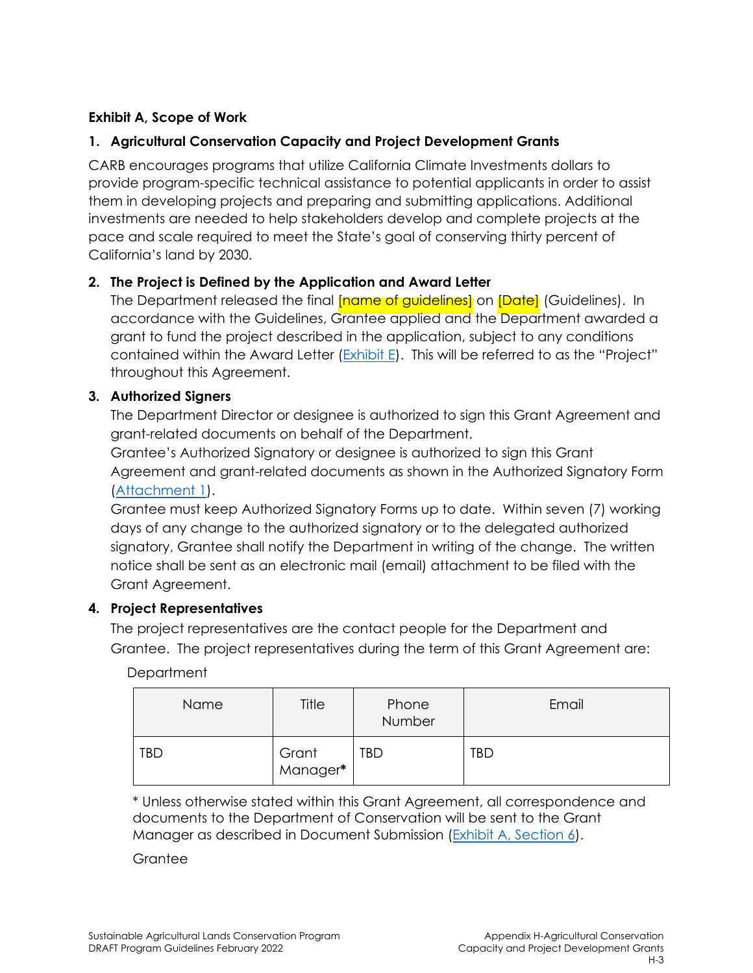## **Exhibit A, Scope of Work**

## **1. Agricultural Conservation Capacity and Project Development Grants**

CARB encourages programs that utilize California Climate Investments dollars to provide program-specific technical assistance to potential applicants in order to assist them in developing projects and preparing and submitting applications. Additional investments are needed to help stakeholders develop and complete projects at the pace and scale required to meet the State's goal of conserving thirty percent of California's land by 2030.

### **2. The Project is Defined by the Application and Award Letter**

The Department released the final **[name of quidelines]** on *[Date] (Guidelines). In* accordance with the Guidelines, Grantee applied and the Department awarded a grant to fund the project described in the application, subject to any conditions contained within the Award Letter (Exhibit E). This will be referred to as the "Project" throughout this Agreement.

### **3. Authorized Signers**

The Department Director or designee is authorized to sign this Grant Agreement and grant-related documents on behalf of the Department.

Grantee's Authorized Signatory or designee is authorized to sign this Grant Agreement and grant-related documents as shown in the Authorized Signatory Form (Attachment 1).

Grantee must keep Authorized Signatory Forms up to date. Within seven (7) working days of any change to the authorized signatory or to the delegated authorized signatory, Grantee shall notify the Department in writing of the change. The written notice shall be sent as an electronic mail (email) attachment to be filed with the Grant Agreement.

### **4. Project Representatives**

 Grantee. The project representatives during the term of this Grant Agreement are: The project representatives are the contact people for the Department and

| Department |
|------------|
|------------|

| Name       | Title             | Phone<br>Number | Email |
|------------|-------------------|-----------------|-------|
| <b>TBD</b> | Grant<br>Manager* | <b>TBD</b>      | TBD   |

\* Unless otherwise stated within this Grant Agreement, all correspondence and documents to the Department of Conservation will be sent to the Grant Manager as described in Document Submission (Exhibit A, Section 6).

**Grantee**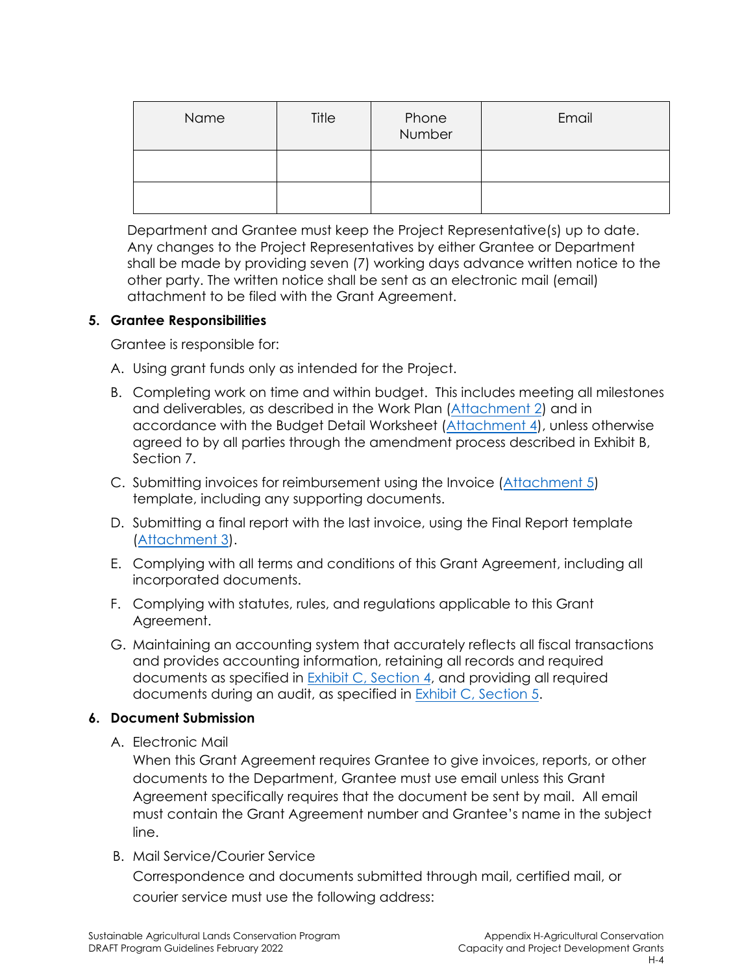| Name | Title | Phone<br>Number | Email |
|------|-------|-----------------|-------|
|      |       |                 |       |
|      |       |                 |       |

Department and Grantee must keep the Project Representative(s) up to date. Any changes to the Project Representatives by either Grantee or Department shall be made by providing seven (7) working days advance written notice to the other party. The written notice shall be sent as an electronic mail (email) attachment to be filed with the Grant Agreement.

#### **5. Grantee Responsibilities**

Grantee is responsible for:

- A. Using grant funds only as intended for the Project.
- B. Completing work on time and within budget. This includes meeting all milestones and deliverables, as described in the Work Plan (Attachment 2) and in accordance with the Budget Detail Worksheet (Attachment 4), unless otherwise agreed to by all parties through the amendment process described in Exhibit B, Section 7.
- C. Submitting invoices for reimbursement using the Invoice (Attachment 5) template, including any supporting documents.
- D. Submitting a final report with the last invoice, using the Final Report template (Attachment 3).
- E. Complying with all terms and conditions of this Grant Agreement, including all incorporated documents.
- F. Complying with statutes, rules, and regulations applicable to this Grant Agreement.
- G. Maintaining an accounting system that accurately reflects all fiscal transactions and provides accounting information, retaining all records and required documents as specified in Exhibit C, Section 4, and providing all required documents during an audit, as specified in Exhibit C, Section 5.

### **6. Document Submission**

A. Electronic Mail

When this Grant Agreement requires Grantee to give invoices, reports, or other documents to the Department, Grantee must use email unless this Grant Agreement specifically requires that the document be sent by mail. All email must contain the Grant Agreement number and Grantee's name in the subject line.

B. Mail Service/Courier Service

Correspondence and documents submitted through mail, certified mail, or courier service must use the following address: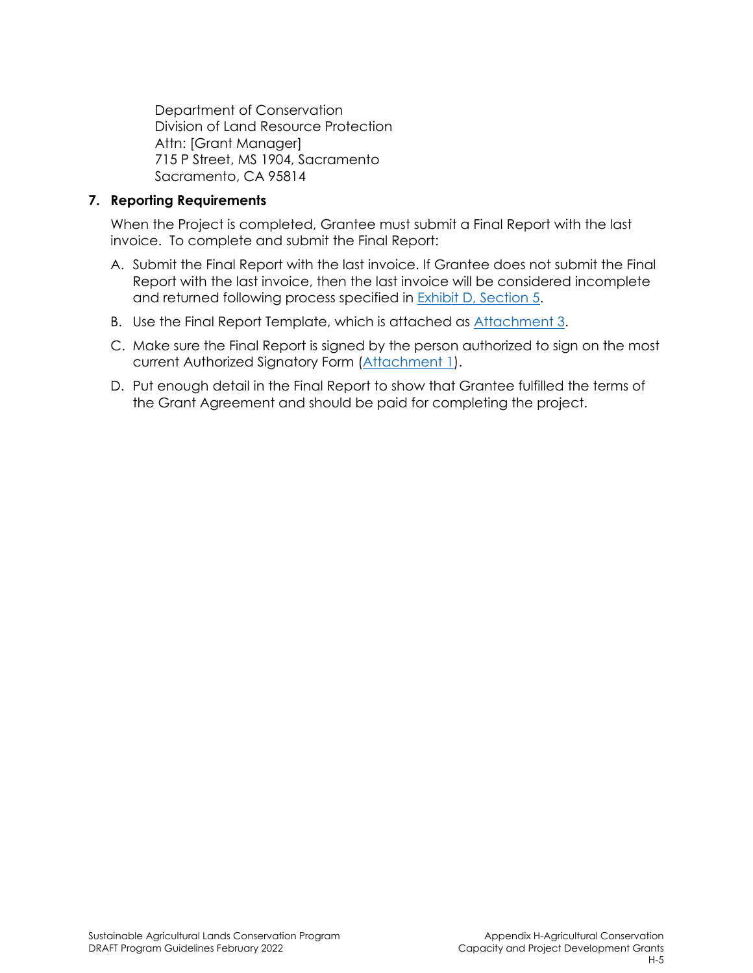Department of Conservation Division of Land Resource Protection Attn: [Grant Manager] 715 P Street, MS 1904, Sacramento Sacramento, CA 95814

#### **7. Reporting Requirements**

When the Project is completed, Grantee must submit a Final Report with the last invoice. To complete and submit the Final Report:

- A. Submit the Final Report with the last invoice. If Grantee does not submit the Final Report with the last invoice, then the last invoice will be considered incomplete and returned following process specified in Exhibit D, Section 5.
- B. Use the Final Report Template, which is attached as Attachment 3.
- C. Make sure the Final Report is signed by the person authorized to sign on the most current Authorized Signatory Form (Attachment 1).
- D. Put enough detail in the Final Report to show that Grantee fulfilled the terms of the Grant Agreement and should be paid for completing the project.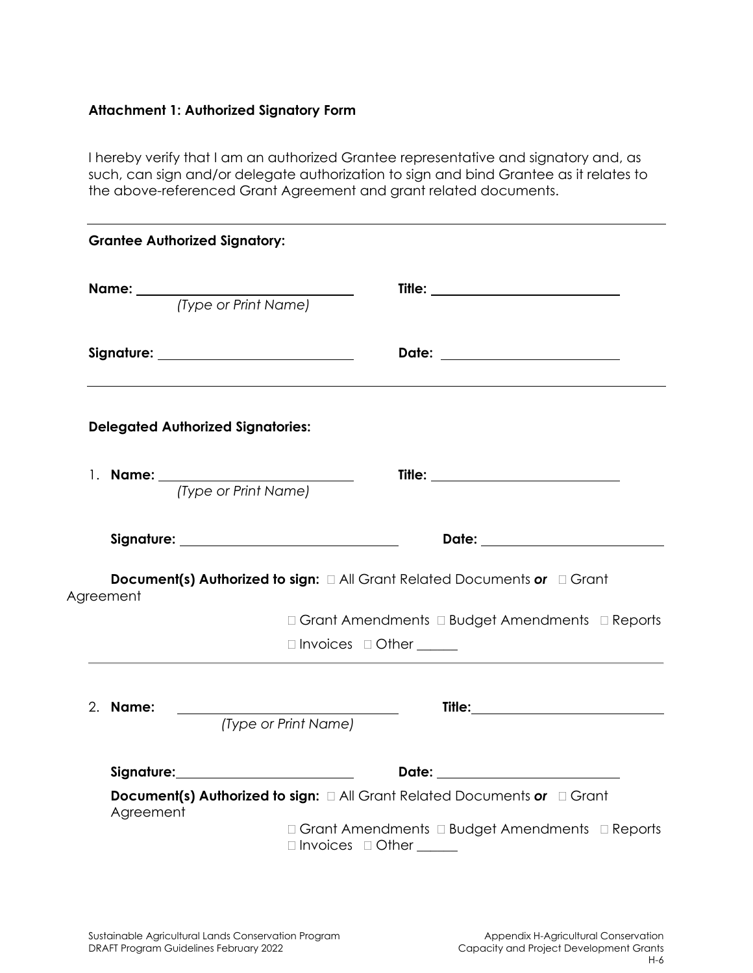# **Attachment 1: Authorized Signatory Form**

I hereby verify that I am an authorized Grantee representative and signatory and, as such, can sign and/or delegate authorization to sign and bind Grantee as it relates to the above-referenced Grant Agreement and grant related documents.

|    |           | <b>Grantee Authorized Signatory:</b>                                                      |
|----|-----------|-------------------------------------------------------------------------------------------|
|    |           | <b>Name:</b> <i>(Type or Print Name)</i>                                                  |
|    |           | Signature: _______________________________                                                |
|    |           | <b>Delegated Authorized Signatories:</b>                                                  |
|    |           | (Type or Print Name)                                                                      |
|    |           |                                                                                           |
|    | Agreement | <b>Document(s) Authorized to sign:</b> $\Box$ All Grant Related Documents or $\Box$ Grant |
|    |           | □ Grant Amendments □ Budget Amendments □ Reports                                          |
|    |           | $\Box$ Invoices $\Box$ Other ________                                                     |
| 2. | Name:     | (Type or Print Name)                                                                      |
|    |           |                                                                                           |
|    |           |                                                                                           |
|    | Agreement | Document(s) Authorized to sign: $\Box$ All Grant Related Documents or $\Box$ Grant        |
|    |           | □ Grant Amendments □ Budget Amendments □ Reports<br>□ Invoices □ Other _____              |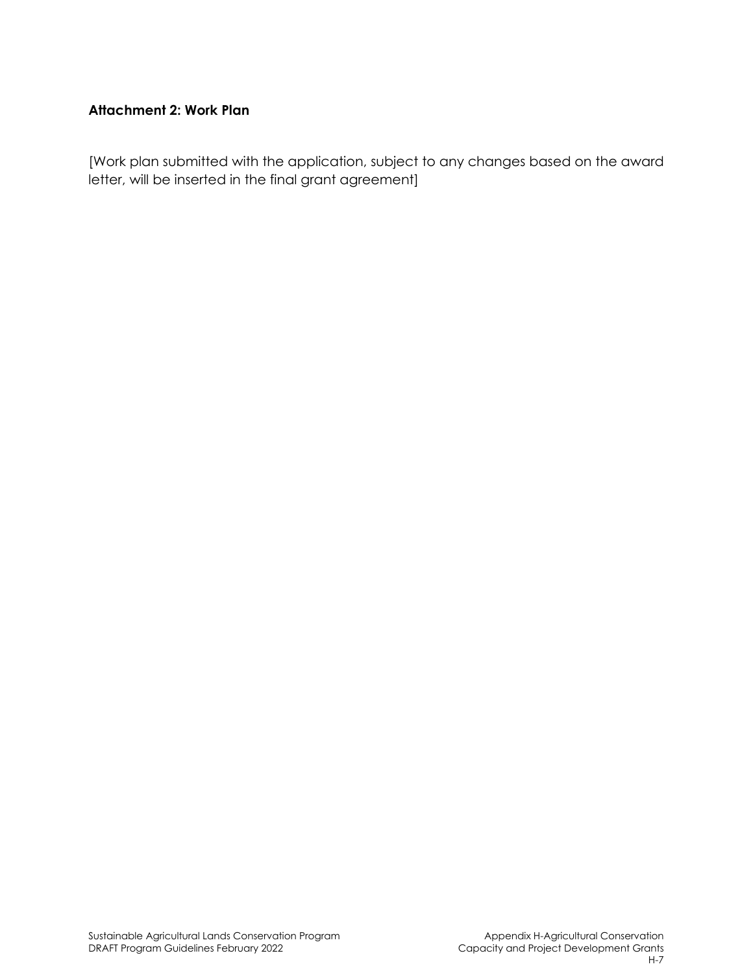# **Attachment 2: Work Plan**

[Work plan submitted with the application, subject to any changes based on the award letter, will be inserted in the final grant agreement]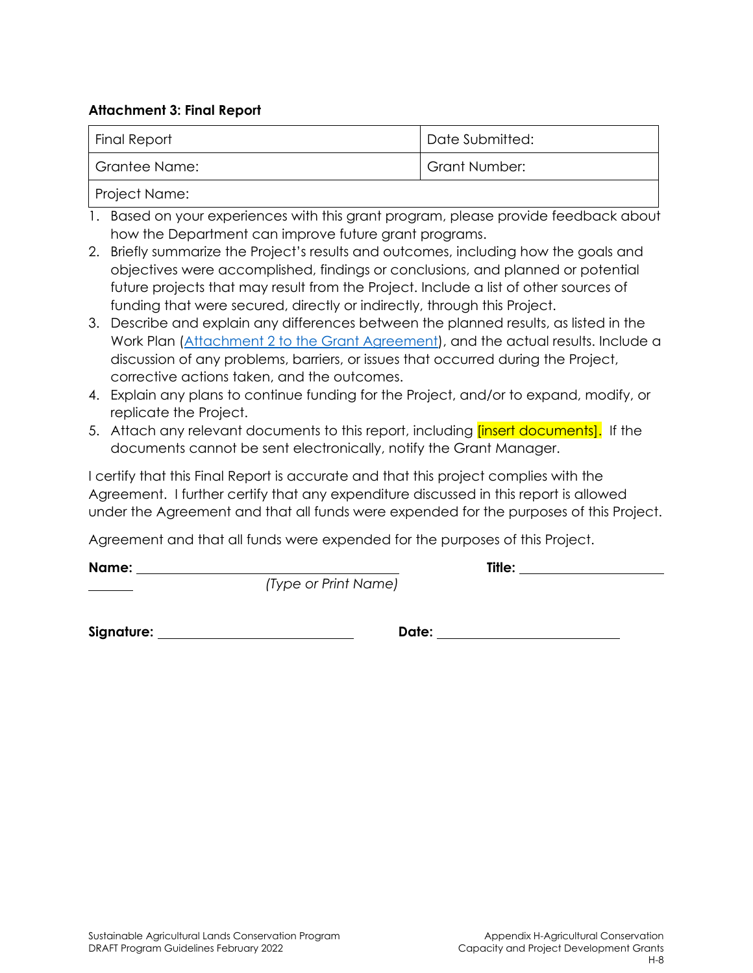#### **Attachment 3: Final Report**

| <b>Final Report</b> | Date Submitted:      |
|---------------------|----------------------|
| Grantee Name:       | <b>Grant Number:</b> |
|                     |                      |

Project Name:

- 1. Based on your experiences with this grant program, please provide feedback about how the Department can improve future grant programs.
- 2. Briefly summarize the Project's results and outcomes, including how the goals and objectives were accomplished, findings or conclusions, and planned or potential future projects that may result from the Project. Include a list of other sources of funding that were secured, directly or indirectly, through this Project.
- 3. Describe and explain any differences between the planned results, as listed in the Work Plan (Attachment 2 to the Grant Agreement), and the actual results. Include a discussion of any problems, barriers, or issues that occurred during the Project, corrective actions taken, and the outcomes.
- 4. Explain any plans to continue funding for the Project, and/or to expand, modify, or replicate the Project.
- 5. Attach any relevant documents to this report, including *[insert documents]*. If the documents cannot be sent electronically, notify the Grant Manager.

I certify that this Final Report is accurate and that this project complies with the Agreement. I further certify that any expenditure discussed in this report is allowed under the Agreement and that all funds were expended for the purposes of this Project.

Agreement and that all funds were expended for the purposes of this Project.

**Name: Title:** 

*(Type or Print Name)*

**Signature: Date:**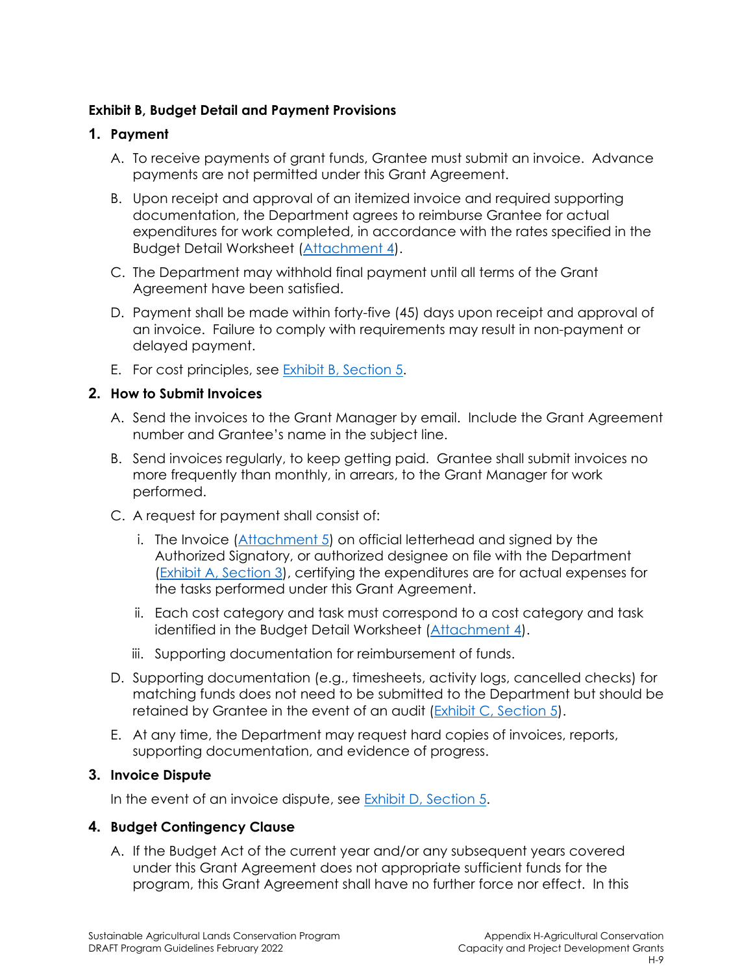### **Exhibit B, Budget Detail and Payment Provisions**

### **1. Payment**

- A. To receive payments of grant funds, Grantee must submit an invoice. Advance payments are not permitted under this Grant Agreement.
- B. Upon receipt and approval of an itemized invoice and required supporting documentation, the Department agrees to reimburse Grantee for actual expenditures for work completed, in accordance with the rates specified in the Budget Detail Worksheet (Attachment 4).
- C. The Department may withhold final payment until all terms of the Grant Agreement have been satisfied.
- D. Payment shall be made within forty-five (45) days upon receipt and approval of an invoice. Failure to comply with requirements may result in non-payment or delayed payment.
- E. For cost principles, see **Exhibit B**, Section 5.

### **2. How to Submit Invoices**

- A. Send the invoices to the Grant Manager by email. Include the Grant Agreement number and Grantee's name in the subject line.
- B. Send invoices regularly, to keep getting paid. Grantee shall submit invoices no more frequently than monthly, in arrears, to the Grant Manager for work performed.
- C. A request for payment shall consist of:
	- i. The Invoice (Attachment 5) on official letterhead and signed by the Authorized Signatory, or authorized designee on file with the Department (Exhibit A, Section 3), certifying the expenditures are for actual expenses for the tasks performed under this Grant Agreement.
	- ii. Each cost category and task must correspond to a cost category and task identified in the Budget Detail Worksheet (Attachment 4).
	- iii. Supporting documentation for reimbursement of funds.
- D. Supporting documentation (e.g., timesheets, activity logs, cancelled checks) for matching funds does not need to be submitted to the Department but should be retained by Grantee in the event of an audit (Exhibit C, Section 5).
- E. At any time, the Department may request hard copies of invoices, reports, supporting documentation, and evidence of progress.

### **3. Invoice Dispute**

In the event of an invoice dispute, see Exhibit D, Section 5.

# **4. Budget Contingency Clause**

A. If the Budget Act of the current year and/or any subsequent years covered under this Grant Agreement does not appropriate sufficient funds for the program, this Grant Agreement shall have no further force nor effect. In this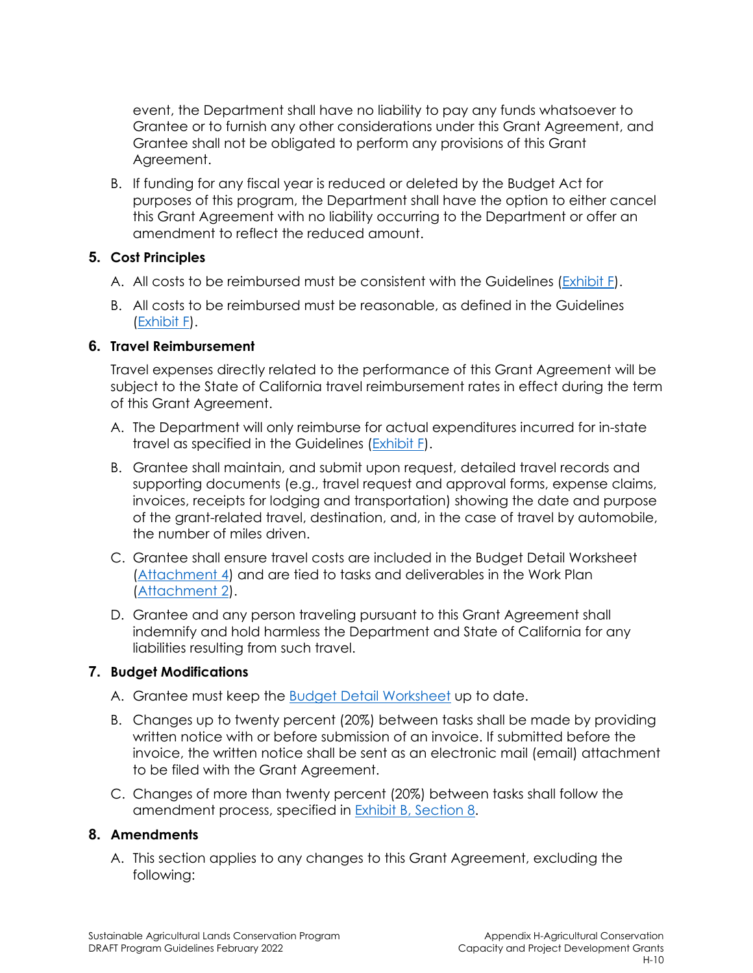event, the Department shall have no liability to pay any funds whatsoever to Grantee or to furnish any other considerations under this Grant Agreement, and Grantee shall not be obligated to perform any provisions of this Grant Agreement.

B. If funding for any fiscal year is reduced or deleted by the Budget Act for purposes of this program, the Department shall have the option to either cancel this Grant Agreement with no liability occurring to the Department or offer an amendment to reflect the reduced amount.

### **5. Cost Principles**

- A. All costs to be reimbursed must be consistent with the Guidelines (Exhibit F).
- B. All costs to be reimbursed must be reasonable, as defined in the Guidelines (Exhibit F).

### **6. Travel Reimbursement**

Travel expenses directly related to the performance of this Grant Agreement will be subject to the State of California travel reimbursement rates in effect during the term of this Grant Agreement.

- A. The Department will only reimburse for actual expenditures incurred for in-state travel as specified in the Guidelines (Exhibit F).
- B. Grantee shall maintain, and submit upon request, detailed travel records and supporting documents (e.g., travel request and approval forms, expense claims, invoices, receipts for lodging and transportation) showing the date and purpose of the grant-related travel, destination, and, in the case of travel by automobile, the number of miles driven.
- C. Grantee shall ensure travel costs are included in the Budget Detail Worksheet (Attachment 4) and are tied to tasks and deliverables in the Work Plan (Attachment 2).
- D. Grantee and any person traveling pursuant to this Grant Agreement shall indemnify and hold harmless the Department and State of California for any liabilities resulting from such travel.

# **7. Budget Modifications**

- A. Grantee must keep the Budget Detail Worksheet up to date.
- B. Changes up to twenty percent (20%) between tasks shall be made by providing written notice with or before submission of an invoice. If submitted before the invoice, the written notice shall be sent as an electronic mail (email) attachment to be filed with the Grant Agreement.
- C. Changes of more than twenty percent (20%) between tasks shall follow the amendment process, specified in **Exhibit B**, Section 8.

### **8. Amendments**

A. This section applies to any changes to this Grant Agreement, excluding the following: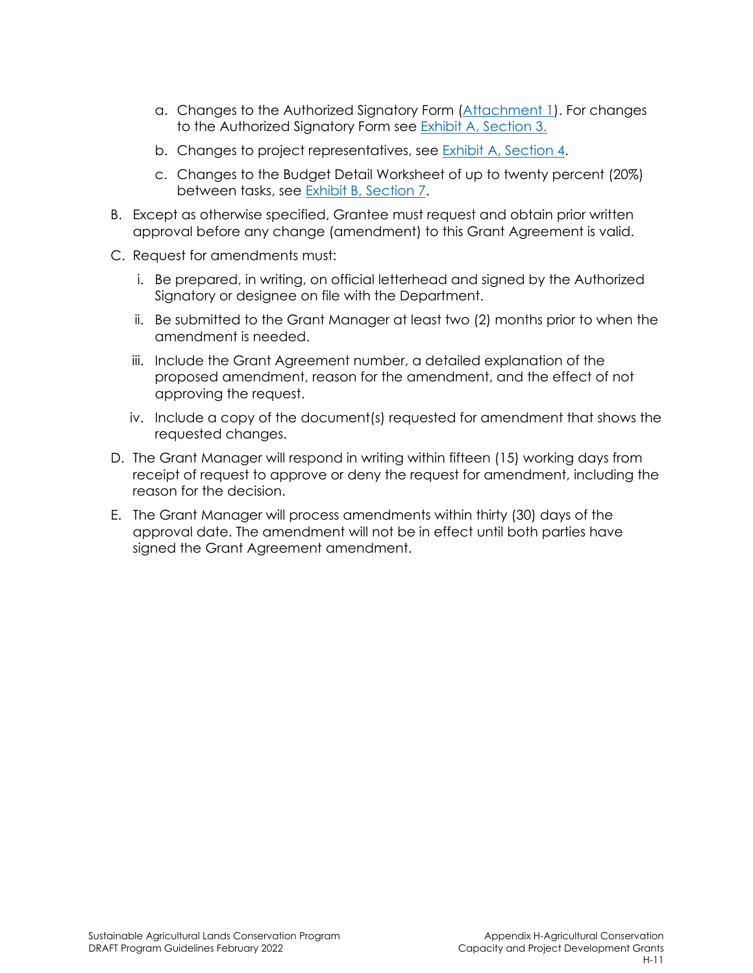- a. Changes to the Authorized Signatory Form (Attachment 1). For changes to the Authorized Signatory Form see Exhibit A, Section 3.
- b. Changes to project representatives, see Exhibit A, Section 4.
- c. Changes to the Budget Detail Worksheet of up to twenty percent (20%) between tasks, see Exhibit B, Section 7.
- B. Except as otherwise specified, Grantee must request and obtain prior written approval before any change (amendment) to this Grant Agreement is valid.
- C. Request for amendments must:
	- i. Be prepared, in writing, on official letterhead and signed by the Authorized Signatory or designee on file with the Department.
	- ii. Be submitted to the Grant Manager at least two (2) months prior to when the amendment is needed.
	- iii. Include the Grant Agreement number, a detailed explanation of the proposed amendment, reason for the amendment, and the effect of not approving the request.
	- iv. Include a copy of the document(s) requested for amendment that shows the requested changes.
- D. The Grant Manager will respond in writing within fifteen (15) working days from receipt of request to approve or deny the request for amendment, including the reason for the decision.
- E. The Grant Manager will process amendments within thirty (30) days of the approval date. The amendment will not be in effect until both parties have signed the Grant Agreement amendment.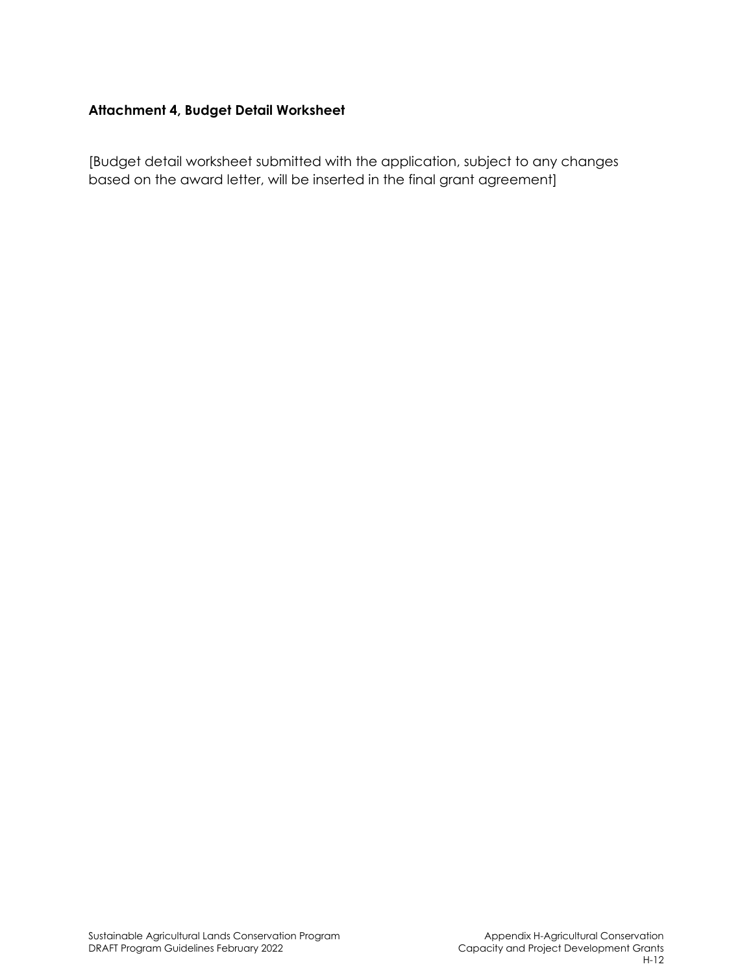# **Attachment 4, Budget Detail Worksheet**

[Budget detail worksheet submitted with the application, subject to any changes based on the award letter, will be inserted in the final grant agreement]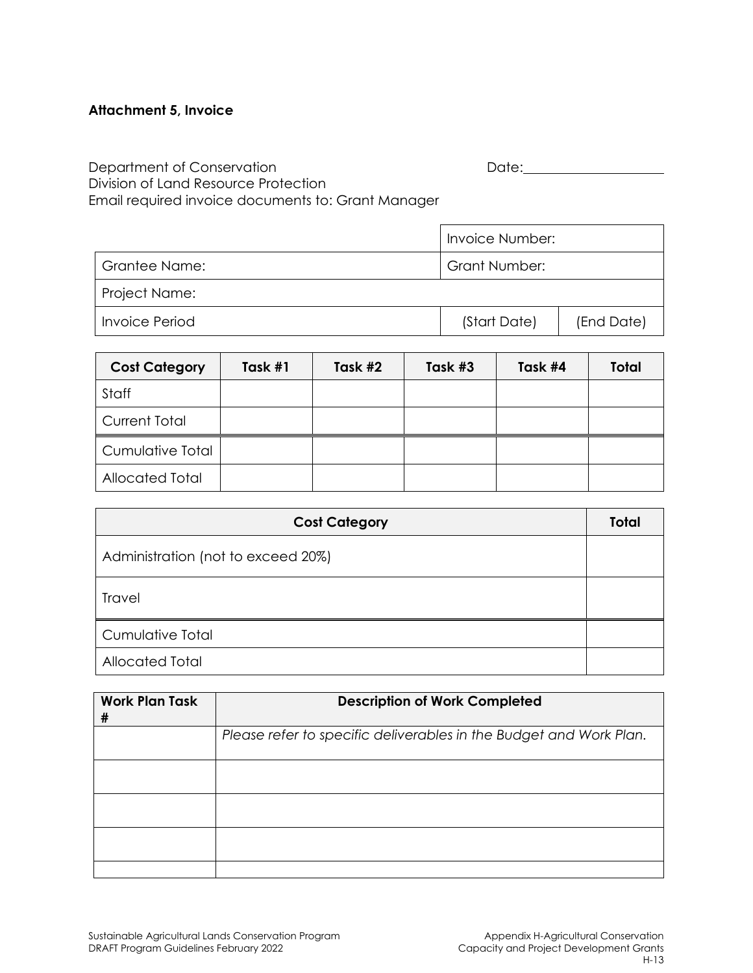# **Attachment 5, Invoice**

Department of Conservation and Date: Date: Date: Division of Land Resource Protection Email required invoice documents to: Grant Manager

|                | Invoice Number:      |            |  |
|----------------|----------------------|------------|--|
| Grantee Name:  | <b>Grant Number:</b> |            |  |
| Project Name:  |                      |            |  |
| Invoice Period | (Start Date)         | (End Date) |  |

| <b>Cost Category</b> | Task #1 | Task #2 | Task #3 | Task #4 | <b>Total</b> |
|----------------------|---------|---------|---------|---------|--------------|
| Staff                |         |         |         |         |              |
| <b>Current Total</b> |         |         |         |         |              |
| Cumulative Total     |         |         |         |         |              |
| Allocated Total      |         |         |         |         |              |

| <b>Cost Category</b>               | <b>Total</b> |
|------------------------------------|--------------|
| Administration (not to exceed 20%) |              |
| Travel                             |              |
| <b>Cumulative Total</b>            |              |
| Allocated Total                    |              |

| <b>Work Plan Task</b><br># | <b>Description of Work Completed</b>                               |  |  |
|----------------------------|--------------------------------------------------------------------|--|--|
|                            | Please refer to specific deliverables in the Budget and Work Plan. |  |  |
|                            |                                                                    |  |  |
|                            |                                                                    |  |  |
|                            |                                                                    |  |  |
|                            |                                                                    |  |  |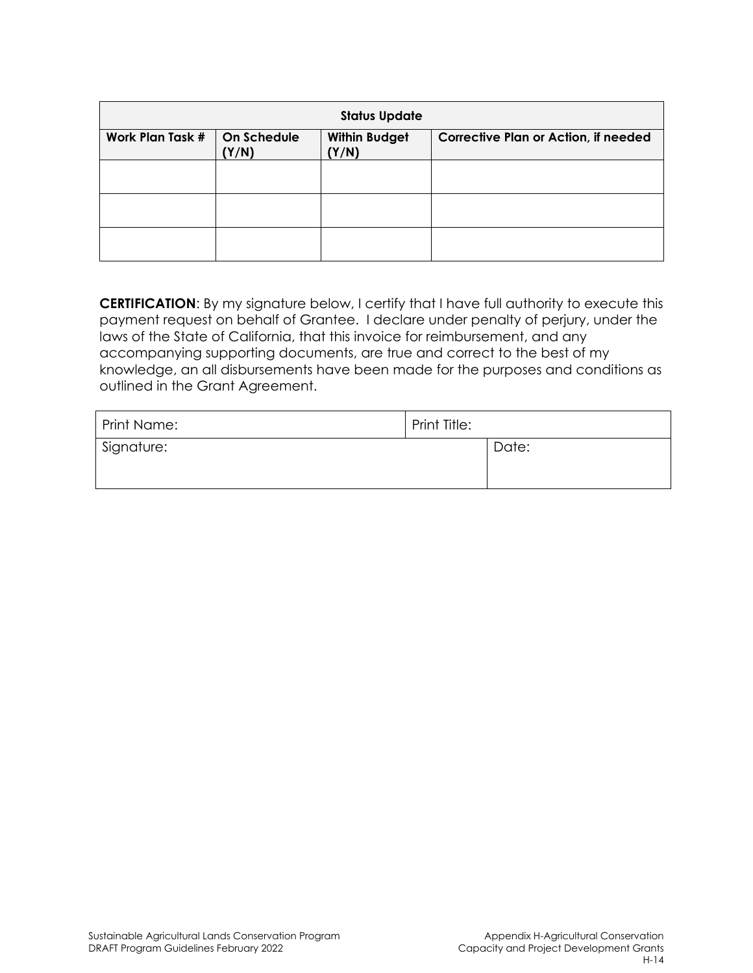| <b>Status Update</b>                                                             |  |                                             |  |
|----------------------------------------------------------------------------------|--|---------------------------------------------|--|
| <b>Work Plan Task #</b><br>On Schedule<br><b>Within Budget</b><br>(Y/N)<br>(Y/N) |  | <b>Corrective Plan or Action, if needed</b> |  |
|                                                                                  |  |                                             |  |
|                                                                                  |  |                                             |  |
|                                                                                  |  |                                             |  |

**CERTIFICATION**: By my signature below, I certify that I have full authority to execute this payment request on behalf of Grantee. I declare under penalty of perjury, under the laws of the State of California, that this invoice for reimbursement, and any accompanying supporting documents, are true and correct to the best of my knowledge, an all disbursements have been made for the purposes and conditions as outlined in the Grant Agreement.

| Print Name: | Print Title: |       |
|-------------|--------------|-------|
| Signature:  |              | Date: |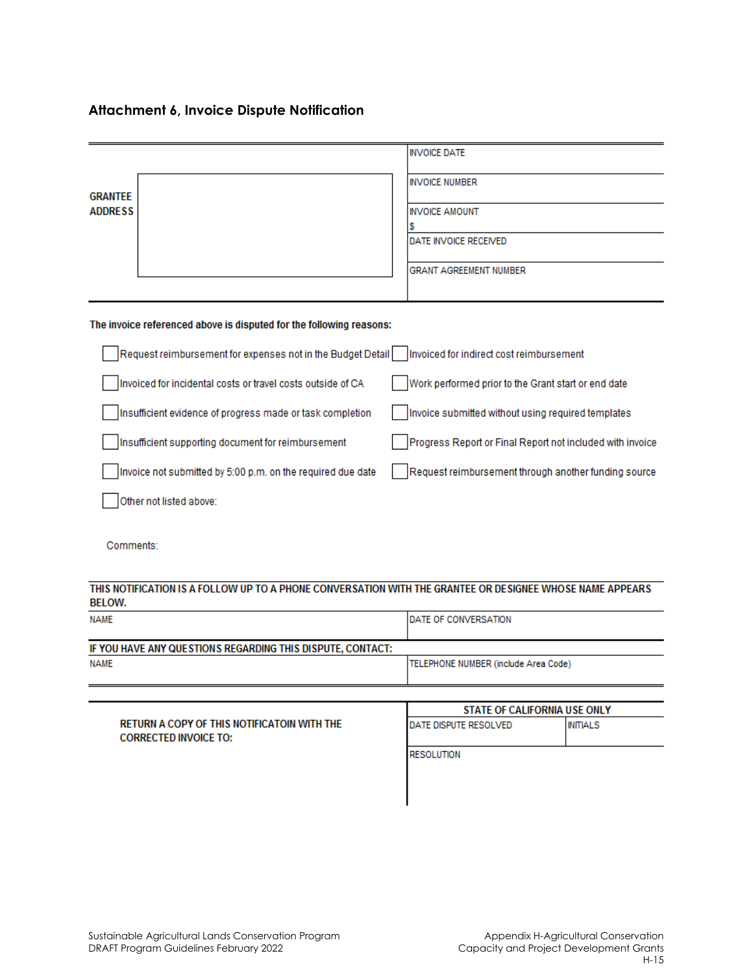# **Attachment 6, Invoice Dispute Notification**

|                                                                     | <b>INVOICE DATE</b>                                                                                      |  |
|---------------------------------------------------------------------|----------------------------------------------------------------------------------------------------------|--|
| <b>GRANTEE</b><br><b>ADDRESS</b>                                    | <b>INVOICE NUMBER</b>                                                                                    |  |
|                                                                     | <b>INVOICE AMOUNT</b>                                                                                    |  |
|                                                                     | s<br>DATE INVOICE RECEIVED                                                                               |  |
|                                                                     | <b>GRANT AGREEMENT NUMBER</b>                                                                            |  |
| The invoice referenced above is disputed for the following reasons: |                                                                                                          |  |
| Request reimbursement for expenses not in the Budget Detail         | Invoiced for indirect cost reimbursement                                                                 |  |
| Invoiced for incidental costs or travel costs outside of CA         | Work performed prior to the Grant start or end date                                                      |  |
| Insufficient evidence of progress made or task completion           | Invoice submitted without using required templates                                                       |  |
| Insufficient supporting document for reimbursement                  | Progress Report or Final Report not included with invoice                                                |  |
| Invoice not submitted by 5:00 p.m. on the required due date         | Request reimbursement through another funding source                                                     |  |
| Other not listed above:                                             |                                                                                                          |  |
| Comments:                                                           |                                                                                                          |  |
| <b>BELOW.</b>                                                       | THIS NOTIFICATION IS A FOLLOW UP TO A PHONE CONVERSATION WITH THE GRANTEE OR DESIGNEE WHOSE NAME APPEARS |  |
| <b>NAME</b>                                                         | DATE OF CONVERSATION                                                                                     |  |
| IF YOU HAVE ANY QUESTIONS REGARDING THIS DISPUTE, CONTACT:          |                                                                                                          |  |
| <b>NAME</b>                                                         | TELEPHONE NUMBER (include Area Code)                                                                     |  |
|                                                                     | STATE OF CALIFORNIA USE ONLY                                                                             |  |

| RETURN A COPY OF THIS NOTIFICATOIN WITH THE<br><b>CORRECTED INVOICE TO:</b> | <b>IDATE DISPUTE RESOLVED</b> | INITIALS |
|-----------------------------------------------------------------------------|-------------------------------|----------|
|                                                                             | <b>RESOLUTION</b>             |          |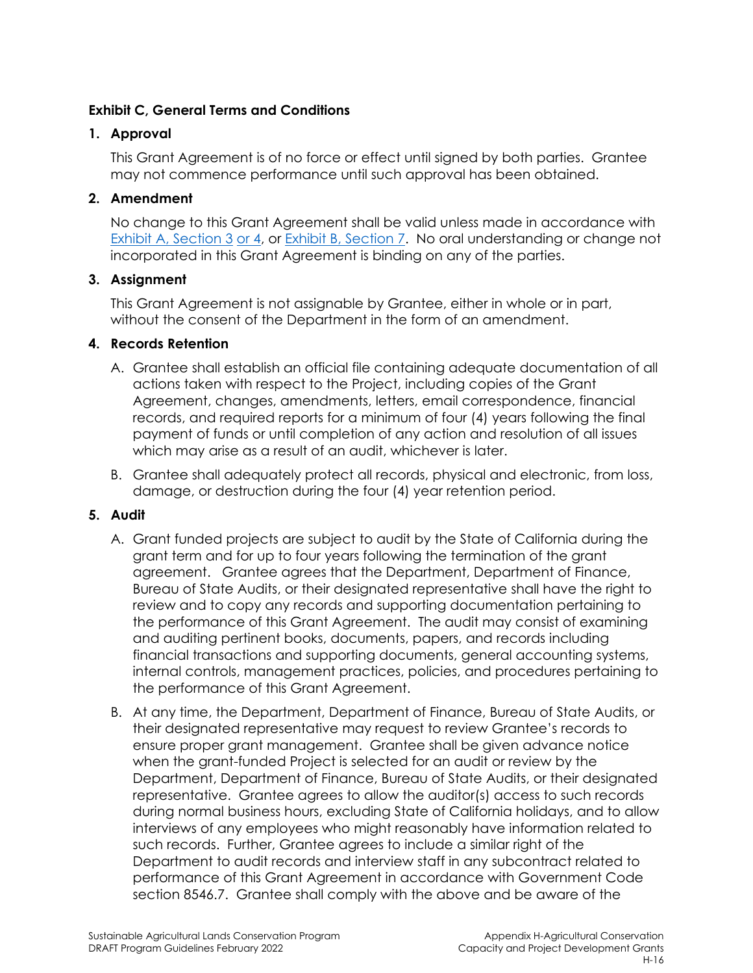### **Exhibit C, General Terms and Conditions**

### **1. Approval**

This Grant Agreement is of no force or effect until signed by both parties. Grantee may not commence performance until such approval has been obtained.

## **2. Amendment**

No change to this Grant Agreement shall be valid unless made in accordance with Exhibit A, Section 3 or 4, or Exhibit B, Section 7. No oral understanding or change not incorporated in this Grant Agreement is binding on any of the parties.

### **3. Assignment**

This Grant Agreement is not assignable by Grantee, either in whole or in part, without the consent of the Department in the form of an amendment.

### **4. Records Retention**

- A. Grantee shall establish an official file containing adequate documentation of all actions taken with respect to the Project, including copies of the Grant Agreement, changes, amendments, letters, email correspondence, financial records, and required reports for a minimum of four (4) years following the final payment of funds or until completion of any action and resolution of all issues which may arise as a result of an audit, whichever is later.
- B. Grantee shall adequately protect all records, physical and electronic, from loss, damage, or destruction during the four (4) year retention period.

### **5. Audit**

- A. Grant funded projects are subject to audit by the State of California during the grant term and for up to four years following the termination of the grant agreement. Grantee agrees that the Department, Department of Finance, Bureau of State Audits, or their designated representative shall have the right to review and to copy any records and supporting documentation pertaining to the performance of this Grant Agreement. The audit may consist of examining and auditing pertinent books, documents, papers, and records including financial transactions and supporting documents, general accounting systems, internal controls, management practices, policies, and procedures pertaining to the performance of this Grant Agreement.
- B. At any time, the Department, Department of Finance, Bureau of State Audits, or their designated representative may request to review Grantee's records to ensure proper grant management. Grantee shall be given advance notice when the grant-funded Project is selected for an audit or review by the Department, Department of Finance, Bureau of State Audits, or their designated representative. Grantee agrees to allow the auditor(s) access to such records during normal business hours, excluding State of California holidays, and to allow interviews of any employees who might reasonably have information related to such records. Further, Grantee agrees to include a similar right of the Department to audit records and interview staff in any subcontract related to performance of this Grant Agreement in accordance with Government Code section 8546.7. Grantee shall comply with the above and be aware of the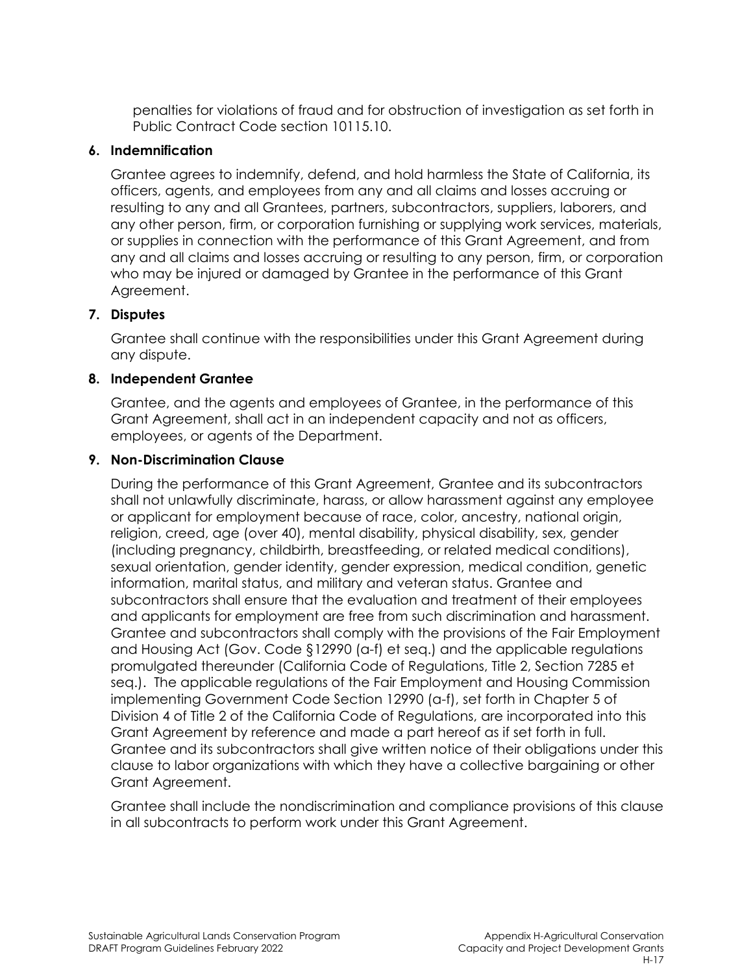penalties for violations of fraud and for obstruction of investigation as set forth in Public Contract Code section 10115.10.

### **6. Indemnification**

Grantee agrees to indemnify, defend, and hold harmless the State of California, its officers, agents, and employees from any and all claims and losses accruing or resulting to any and all Grantees, partners, subcontractors, suppliers, laborers, and any other person, firm, or corporation furnishing or supplying work services, materials, or supplies in connection with the performance of this Grant Agreement, and from any and all claims and losses accruing or resulting to any person, firm, or corporation who may be injured or damaged by Grantee in the performance of this Grant Agreement.

### **7. Disputes**

Grantee shall continue with the responsibilities under this Grant Agreement during any dispute.

### **8. Independent Grantee**

Grantee, and the agents and employees of Grantee, in the performance of this Grant Agreement, shall act in an independent capacity and not as officers, employees, or agents of the Department.

### **9. Non-Discrimination Clause**

During the performance of this Grant Agreement, Grantee and its subcontractors shall not unlawfully discriminate, harass, or allow harassment against any employee or applicant for employment because of race, color, ancestry, national origin, religion, creed, age (over 40), mental disability, physical disability, sex, gender (including pregnancy, childbirth, breastfeeding, or related medical conditions), sexual orientation, gender identity, gender expression, medical condition, genetic information, marital status, and military and veteran status. Grantee and subcontractors shall ensure that the evaluation and treatment of their employees and applicants for employment are free from such discrimination and harassment. Grantee and subcontractors shall comply with the provisions of the Fair Employment and Housing Act (Gov. Code §12990 (a-f) et seq.) and the applicable regulations promulgated thereunder (California Code of Regulations, Title 2, Section 7285 et seq.). The applicable regulations of the Fair Employment and Housing Commission implementing Government Code Section 12990 (a-f), set forth in Chapter 5 of Division 4 of Title 2 of the California Code of Regulations, are incorporated into this Grant Agreement by reference and made a part hereof as if set forth in full. Grantee and its subcontractors shall give written notice of their obligations under this clause to labor organizations with which they have a collective bargaining or other Grant Agreement.

Grantee shall include the nondiscrimination and compliance provisions of this clause in all subcontracts to perform work under this Grant Agreement.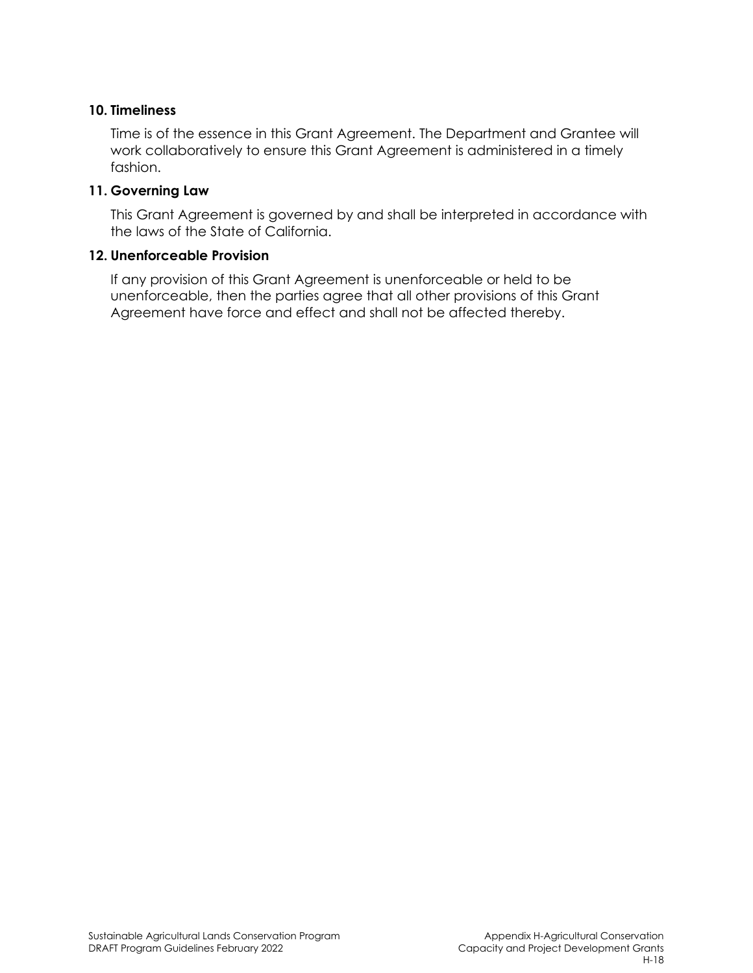#### **10. Timeliness**

Time is of the essence in this Grant Agreement. The Department and Grantee will work collaboratively to ensure this Grant Agreement is administered in a timely fashion.

#### **11. Governing Law**

This Grant Agreement is governed by and shall be interpreted in accordance with the laws of the State of California.

#### **12. Unenforceable Provision**

If any provision of this Grant Agreement is unenforceable or held to be unenforceable, then the parties agree that all other provisions of this Grant Agreement have force and effect and shall not be affected thereby.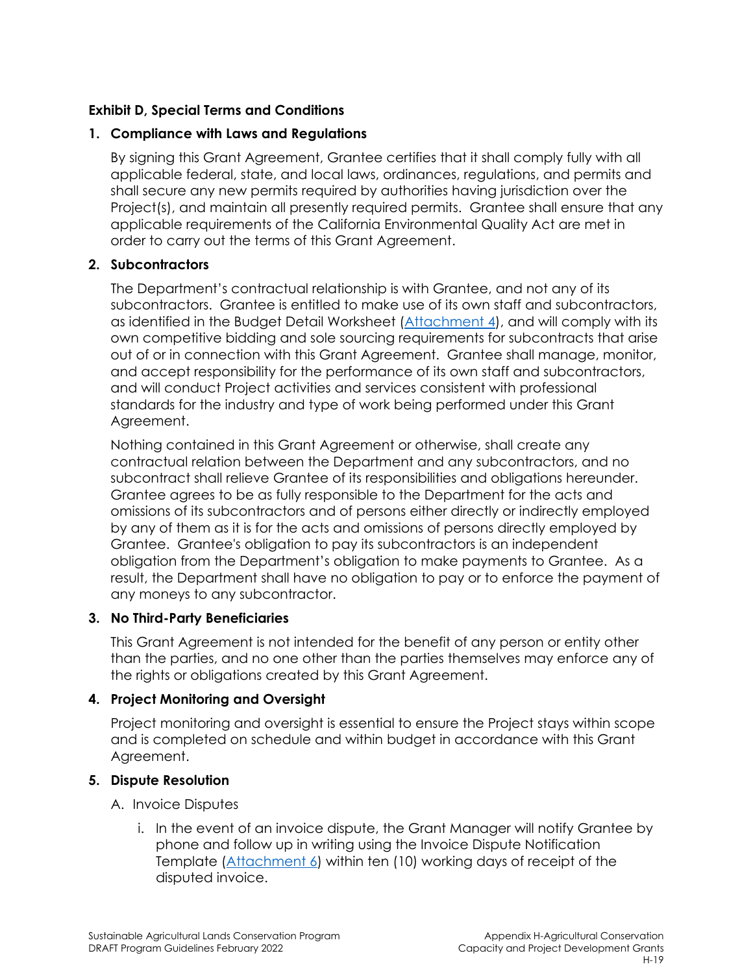### **Exhibit D, Special Terms and Conditions**

### **1. Compliance with Laws and Regulations**

By signing this Grant Agreement, Grantee certifies that it shall comply fully with all applicable federal, state, and local laws, ordinances, regulations, and permits and shall secure any new permits required by authorities having jurisdiction over the Project(s), and maintain all presently required permits. Grantee shall ensure that any applicable requirements of the California Environmental Quality Act are met in order to carry out the terms of this Grant Agreement.

### **2. Subcontractors**

The Department's contractual relationship is with Grantee, and not any of its subcontractors. Grantee is entitled to make use of its own staff and subcontractors, as identified in the Budget Detail Worksheet (Attachment 4), and will comply with its own competitive bidding and sole sourcing requirements for subcontracts that arise out of or in connection with this Grant Agreement. Grantee shall manage, monitor, and accept responsibility for the performance of its own staff and subcontractors, and will conduct Project activities and services consistent with professional standards for the industry and type of work being performed under this Grant Agreement.

Nothing contained in this Grant Agreement or otherwise, shall create any contractual relation between the Department and any subcontractors, and no subcontract shall relieve Grantee of its responsibilities and obligations hereunder. Grantee agrees to be as fully responsible to the Department for the acts and omissions of its subcontractors and of persons either directly or indirectly employed by any of them as it is for the acts and omissions of persons directly employed by Grantee. Grantee's obligation to pay its subcontractors is an independent obligation from the Department's obligation to make payments to Grantee. As a result, the Department shall have no obligation to pay or to enforce the payment of any moneys to any subcontractor.

### **3. No Third-Party Beneficiaries**

This Grant Agreement is not intended for the benefit of any person or entity other than the parties, and no one other than the parties themselves may enforce any of the rights or obligations created by this Grant Agreement.

### **4. Project Monitoring and Oversight**

Project monitoring and oversight is essential to ensure the Project stays within scope and is completed on schedule and within budget in accordance with this Grant Agreement.

### **5. Dispute Resolution**

### A. Invoice Disputes

i. In the event of an invoice dispute, the Grant Manager will notify Grantee by phone and follow up in writing using the Invoice Dispute Notification Template (Attachment 6) within ten (10) working days of receipt of the disputed invoice.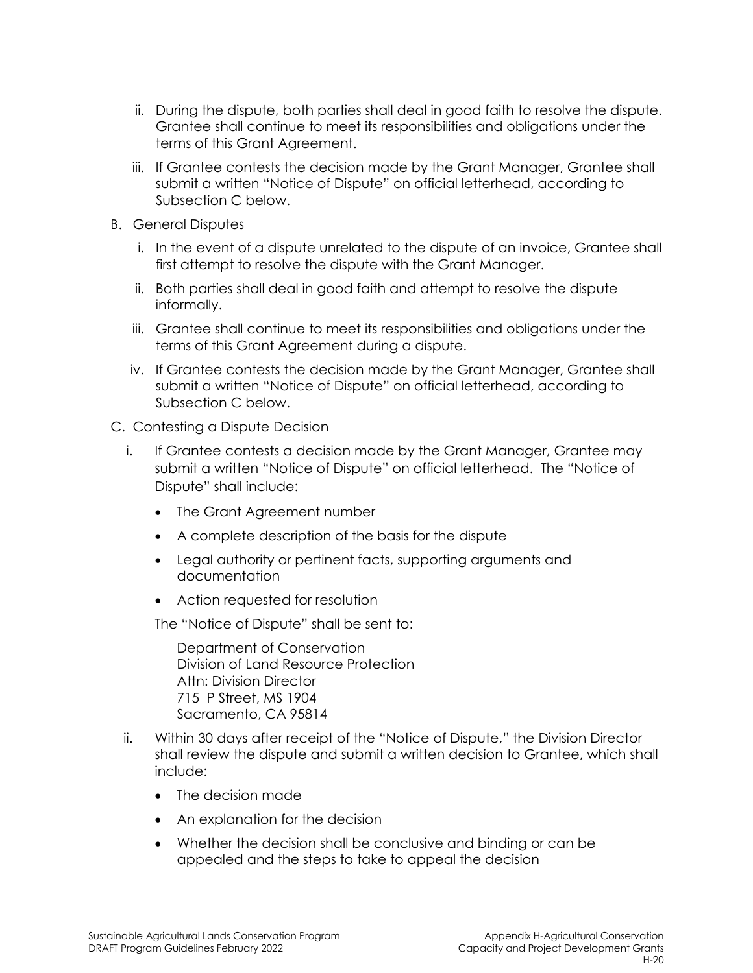- ii. During the dispute, both parties shall deal in good faith to resolve the dispute. Grantee shall continue to meet its responsibilities and obligations under the terms of this Grant Agreement.
- iii. If Grantee contests the decision made by the Grant Manager, Grantee shall submit a written "Notice of Dispute" on official letterhead, according to Subsection C below.
- B. General Disputes
	- i. In the event of a dispute unrelated to the dispute of an invoice, Grantee shall first attempt to resolve the dispute with the Grant Manager.
	- ii. Both parties shall deal in good faith and attempt to resolve the dispute informally.
	- iii. Grantee shall continue to meet its responsibilities and obligations under the terms of this Grant Agreement during a dispute.
	- iv. If Grantee contests the decision made by the Grant Manager, Grantee shall submit a written "Notice of Dispute" on official letterhead, according to Subsection C below.
- C. Contesting a Dispute Decision
	- i. If Grantee contests a decision made by the Grant Manager, Grantee may submit a written "Notice of Dispute" on official letterhead. The "Notice of Dispute" shall include:
		- The Grant Agreement number
		- A complete description of the basis for the dispute
		- Legal authority or pertinent facts, supporting arguments and documentation
		- Action requested for resolution

The "Notice of Dispute" shall be sent to:

Department of Conservation Division of Land Resource Protection Attn: Division Director 715 P Street, MS 1904 Sacramento, CA 95814

- ii. Within 30 days after receipt of the "Notice of Dispute," the Division Director shall review the dispute and submit a written decision to Grantee, which shall include:
	- The decision made
	- An explanation for the decision
	- Whether the decision shall be conclusive and binding or can be appealed and the steps to take to appeal the decision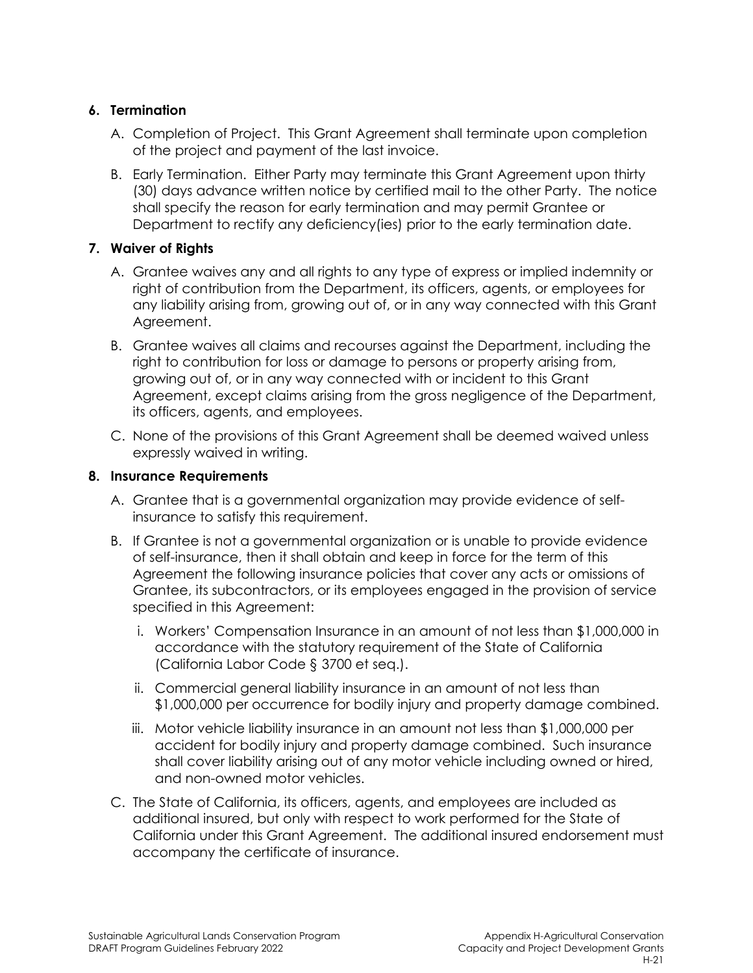### **6. Termination**

- A. Completion of Project. This Grant Agreement shall terminate upon completion of the project and payment of the last invoice.
- B. Early Termination. Either Party may terminate this Grant Agreement upon thirty (30) days advance written notice by certified mail to the other Party. The notice shall specify the reason for early termination and may permit Grantee or Department to rectify any deficiency(ies) prior to the early termination date.

# **7. Waiver of Rights**

- A. Grantee waives any and all rights to any type of express or implied indemnity or right of contribution from the Department, its officers, agents, or employees for any liability arising from, growing out of, or in any way connected with this Grant Agreement.
- B. Grantee waives all claims and recourses against the Department, including the right to contribution for loss or damage to persons or property arising from, growing out of, or in any way connected with or incident to this Grant Agreement, except claims arising from the gross negligence of the Department, its officers, agents, and employees.
- C. None of the provisions of this Grant Agreement shall be deemed waived unless expressly waived in writing.

### **8. Insurance Requirements**

- A. Grantee that is a governmental organization may provide evidence of selfinsurance to satisfy this requirement.
- B. If Grantee is not a governmental organization or is unable to provide evidence of self-insurance, then it shall obtain and keep in force for the term of this Agreement the following insurance policies that cover any acts or omissions of Grantee, its subcontractors, or its employees engaged in the provision of service specified in this Agreement:
	- i. Workers' Compensation Insurance in an amount of not less than \$1,000,000 in accordance with the statutory requirement of the State of California (California Labor Code § 3700 et seq.).
	- ii. Commercial general liability insurance in an amount of not less than \$1,000,000 per occurrence for bodily injury and property damage combined.
	- iii. Motor vehicle liability insurance in an amount not less than \$1,000,000 per accident for bodily injury and property damage combined. Such insurance shall cover liability arising out of any motor vehicle including owned or hired, and non-owned motor vehicles.
- C. The State of California, its officers, agents, and employees are included as additional insured, but only with respect to work performed for the State of California under this Grant Agreement. The additional insured endorsement must accompany the certificate of insurance.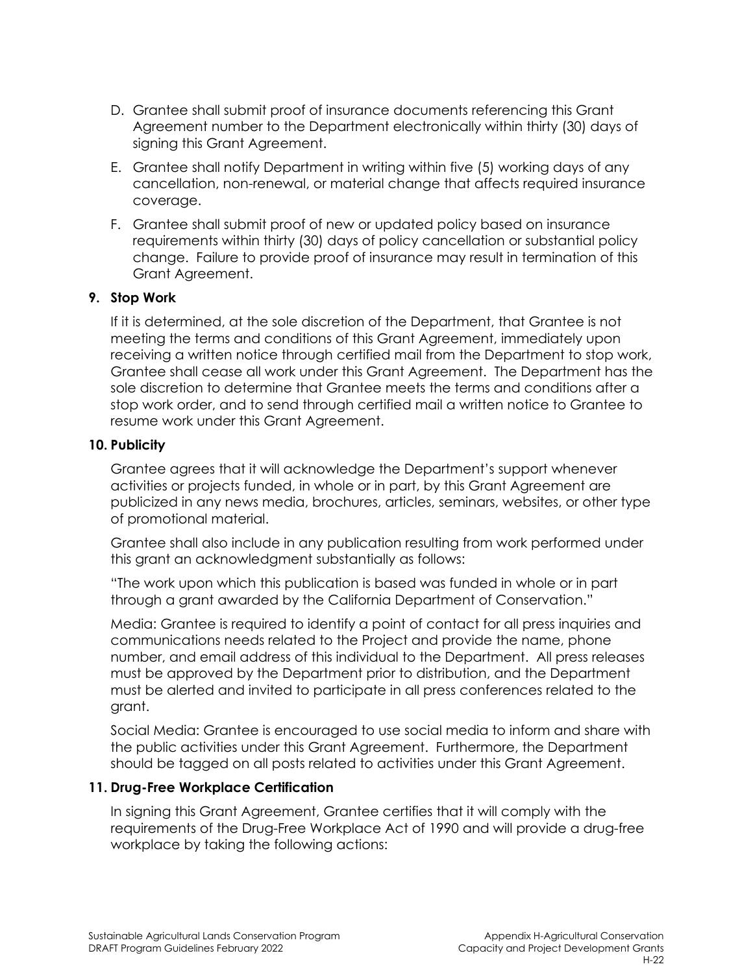- D. Grantee shall submit proof of insurance documents referencing this Grant Agreement number to the Department electronically within thirty (30) days of signing this Grant Agreement.
- E. Grantee shall notify Department in writing within five (5) working days of any cancellation, non-renewal, or material change that affects required insurance coverage.
- F. Grantee shall submit proof of new or updated policy based on insurance requirements within thirty (30) days of policy cancellation or substantial policy change. Failure to provide proof of insurance may result in termination of this Grant Agreement.

### **9. Stop Work**

If it is determined, at the sole discretion of the Department, that Grantee is not meeting the terms and conditions of this Grant Agreement, immediately upon receiving a written notice through certified mail from the Department to stop work, Grantee shall cease all work under this Grant Agreement. The Department has the sole discretion to determine that Grantee meets the terms and conditions after a stop work order, and to send through certified mail a written notice to Grantee to resume work under this Grant Agreement.

#### **10. Publicity**

Grantee agrees that it will acknowledge the Department's support whenever activities or projects funded, in whole or in part, by this Grant Agreement are publicized in any news media, brochures, articles, seminars, websites, or other type of promotional material.

Grantee shall also include in any publication resulting from work performed under this grant an acknowledgment substantially as follows:

"The work upon which this publication is based was funded in whole or in part through a grant awarded by the California Department of Conservation."

Media: Grantee is required to identify a point of contact for all press inquiries and communications needs related to the Project and provide the name, phone number, and email address of this individual to the Department. All press releases must be approved by the Department prior to distribution, and the Department must be alerted and invited to participate in all press conferences related to the grant.

Social Media: Grantee is encouraged to use social media to inform and share with the public activities under this Grant Agreement. Furthermore, the Department should be tagged on all posts related to activities under this Grant Agreement.

#### **11. Drug-Free Workplace Certification**

In signing this Grant Agreement, Grantee certifies that it will comply with the requirements of the Drug-Free Workplace Act of 1990 and will provide a drug-free workplace by taking the following actions: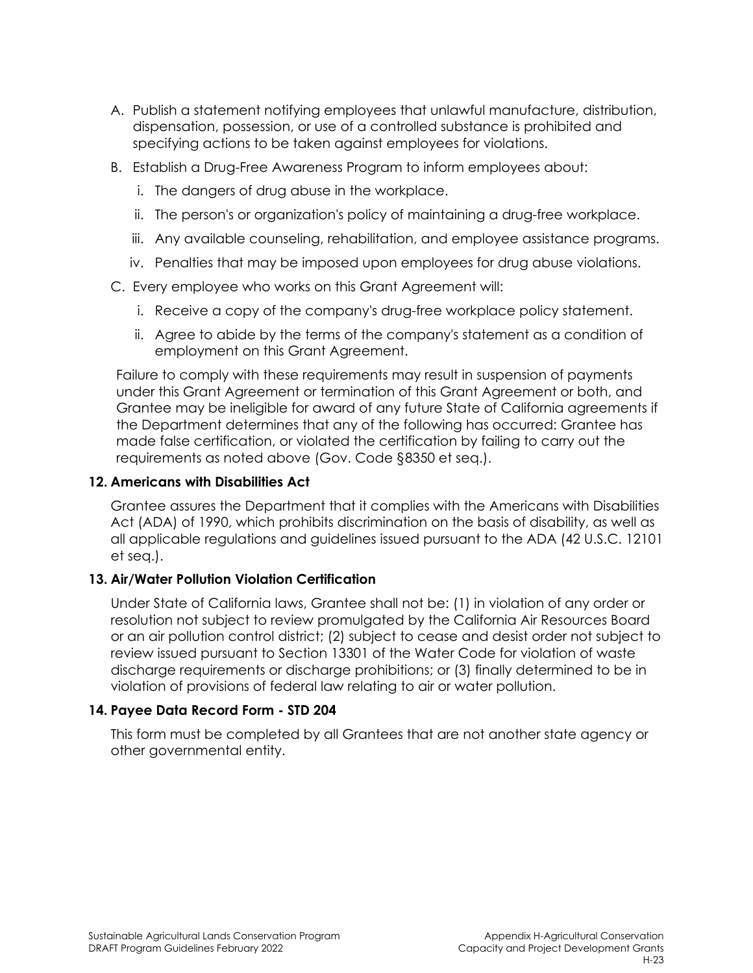- A. Publish a statement notifying employees that unlawful manufacture, distribution, dispensation, possession, or use of a controlled substance is prohibited and specifying actions to be taken against employees for violations.
- B. Establish a Drug-Free Awareness Program to inform employees about:
	- i. The dangers of drug abuse in the workplace.
	- ii. The person's or organization's policy of maintaining a drug-free workplace.
	- iii. Any available counseling, rehabilitation, and employee assistance programs.
	- iv. Penalties that may be imposed upon employees for drug abuse violations.
- C. Every employee who works on this Grant Agreement will:
	- i. Receive a copy of the company's drug-free workplace policy statement.
	- ii. Agree to abide by the terms of the company's statement as a condition of employment on this Grant Agreement.

Failure to comply with these requirements may result in suspension of payments under this Grant Agreement or termination of this Grant Agreement or both, and Grantee may be ineligible for award of any future State of California agreements if the Department determines that any of the following has occurred: Grantee has made false certification, or violated the certification by failing to carry out the requirements as noted above (Gov. Code §8350 et seq.).

#### **12. Americans with Disabilities Act**

Grantee assures the Department that it complies with the Americans with Disabilities Act (ADA) of 1990, which prohibits discrimination on the basis of disability, as well as all applicable regulations and guidelines issued pursuant to the ADA (42 U.S.C. 12101 et seq.).

### **13. Air/Water Pollution Violation Certification**

Under State of California laws, Grantee shall not be: (1) in violation of any order or resolution not subject to review promulgated by the California Air Resources Board or an air pollution control district; (2) subject to cease and desist order not subject to review issued pursuant to Section 13301 of the Water Code for violation of waste discharge requirements or discharge prohibitions; or (3) finally determined to be in violation of provisions of federal law relating to air or water pollution.

### **14. Payee Data Record Form - STD 204**

This form must be completed by all Grantees that are not another state agency or other governmental entity.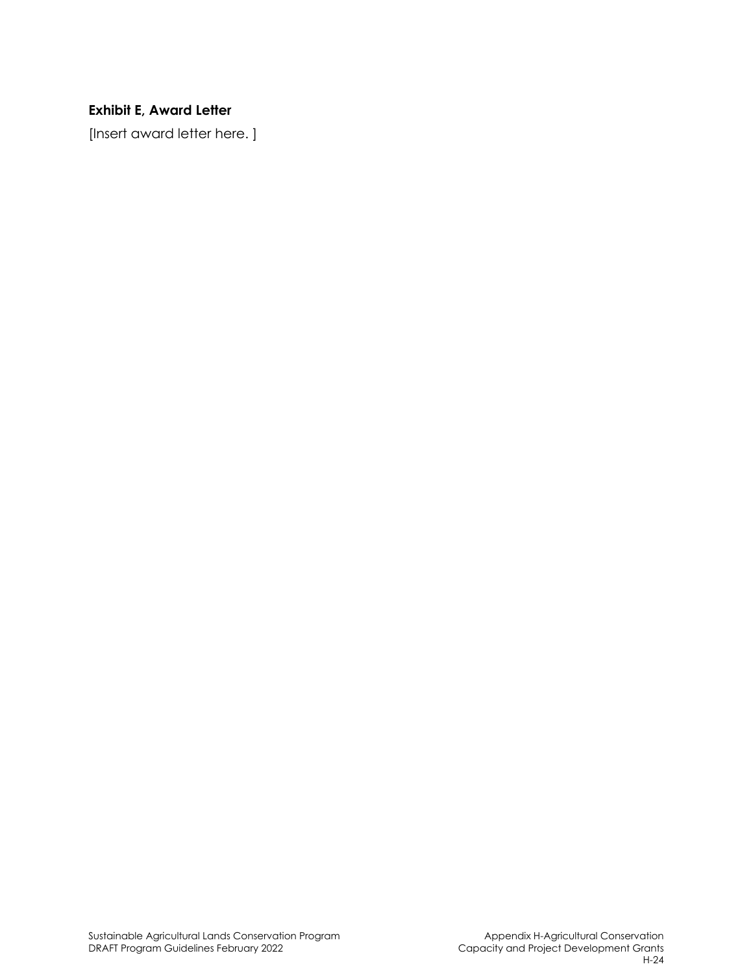# **Exhibit E, Award Letter**

[Insert award letter here. ]